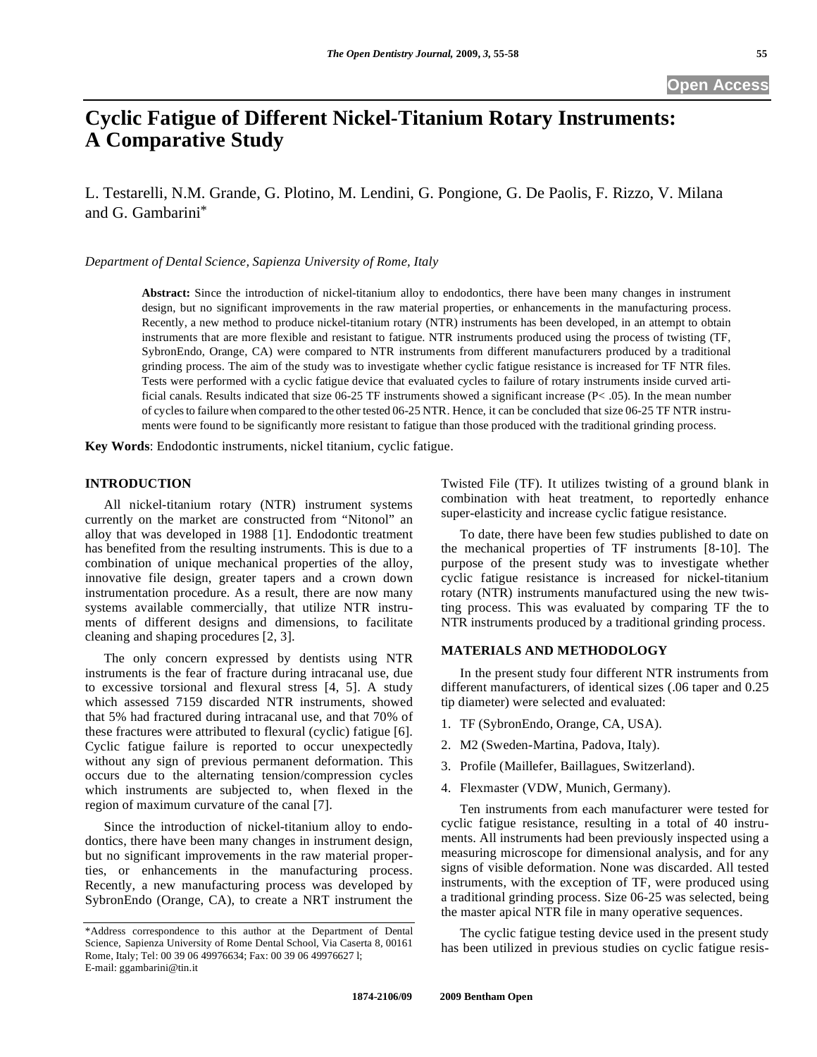# **Cyclic Fatigue of Different Nickel-Titanium Rotary Instruments: A Comparative Study**

L. Testarelli, N.M. Grande, G. Plotino, M. Lendini, G. Pongione, G. De Paolis, F. Rizzo, V. Milana and G. Gambarini\*

*Department of Dental Science, Sapienza University of Rome, Italy* 

**Abstract:** Since the introduction of nickel-titanium alloy to endodontics, there have been many changes in instrument design, but no significant improvements in the raw material properties, or enhancements in the manufacturing process. Recently, a new method to produce nickel-titanium rotary (NTR) instruments has been developed, in an attempt to obtain instruments that are more flexible and resistant to fatigue. NTR instruments produced using the process of twisting (TF, SybronEndo, Orange, CA) were compared to NTR instruments from different manufacturers produced by a traditional grinding process. The aim of the study was to investigate whether cyclic fatigue resistance is increased for TF NTR files. Tests were performed with a cyclic fatigue device that evaluated cycles to failure of rotary instruments inside curved artificial canals. Results indicated that size 06-25 TF instruments showed a significant increase (P< .05). In the mean number of cyclesto failure when compared to the other tested 06-25 NTR. Hence, it can be concluded that size 06-25 TF NTR instruments were found to be significantly more resistant to fatigue than those produced with the traditional grinding process.

**Key Words**: Endodontic instruments, nickel titanium, cyclic fatigue.

# **INTRODUCTION**

 All nickel-titanium rotary (NTR) instrument systems currently on the market are constructed from "Nitonol" an alloy that was developed in 1988 [1]. Endodontic treatment has benefited from the resulting instruments. This is due to a combination of unique mechanical properties of the alloy, innovative file design, greater tapers and a crown down instrumentation procedure. As a result, there are now many systems available commercially, that utilize NTR instruments of different designs and dimensions, to facilitate cleaning and shaping procedures [2, 3].

 The only concern expressed by dentists using NTR instruments is the fear of fracture during intracanal use, due to excessive torsional and flexural stress [4, 5]. A study which assessed 7159 discarded NTR instruments, showed that 5% had fractured during intracanal use, and that 70% of these fractures were attributed to flexural (cyclic) fatigue [6]. Cyclic fatigue failure is reported to occur unexpectedly without any sign of previous permanent deformation. This occurs due to the alternating tension/compression cycles which instruments are subjected to, when flexed in the region of maximum curvature of the canal [7].

 Since the introduction of nickel-titanium alloy to endodontics, there have been many changes in instrument design, but no significant improvements in the raw material properties, or enhancements in the manufacturing process. Recently, a new manufacturing process was developed by SybronEndo (Orange, CA), to create a NRT instrument the Twisted File (TF). It utilizes twisting of a ground blank in combination with heat treatment, to reportedly enhance super-elasticity and increase cyclic fatigue resistance.

 To date, there have been few studies published to date on the mechanical properties of TF instruments [8-10]. The purpose of the present study was to investigate whether cyclic fatigue resistance is increased for nickel-titanium rotary (NTR) instruments manufactured using the new twisting process. This was evaluated by comparing TF the to NTR instruments produced by a traditional grinding process.

# **MATERIALS AND METHODOLOGY**

 In the present study four different NTR instruments from different manufacturers, of identical sizes (.06 taper and 0.25 tip diameter) were selected and evaluated:

- 1. TF (SybronEndo, Orange, CA, USA).
- 2. M2 (Sweden-Martina, Padova, Italy).
- 3. Profile (Maillefer, Baillagues, Switzerland).
- 4. Flexmaster (VDW, Munich, Germany).

 Ten instruments from each manufacturer were tested for cyclic fatigue resistance, resulting in a total of 40 instruments. All instruments had been previously inspected using a measuring microscope for dimensional analysis, and for any signs of visible deformation. None was discarded. All tested instruments, with the exception of TF, were produced using a traditional grinding process. Size 06-25 was selected, being the master apical NTR file in many operative sequences.

 The cyclic fatigue testing device used in the present study has been utilized in previous studies on cyclic fatigue resis-

<sup>\*</sup>Address correspondence to this author at the Department of Dental Science, Sapienza University of Rome Dental School, Via Caserta 8, 00161 Rome, Italy; Tel: 00 39 06 49976634; Fax: 00 39 06 49976627 l; E-mail: ggambarini@tin.it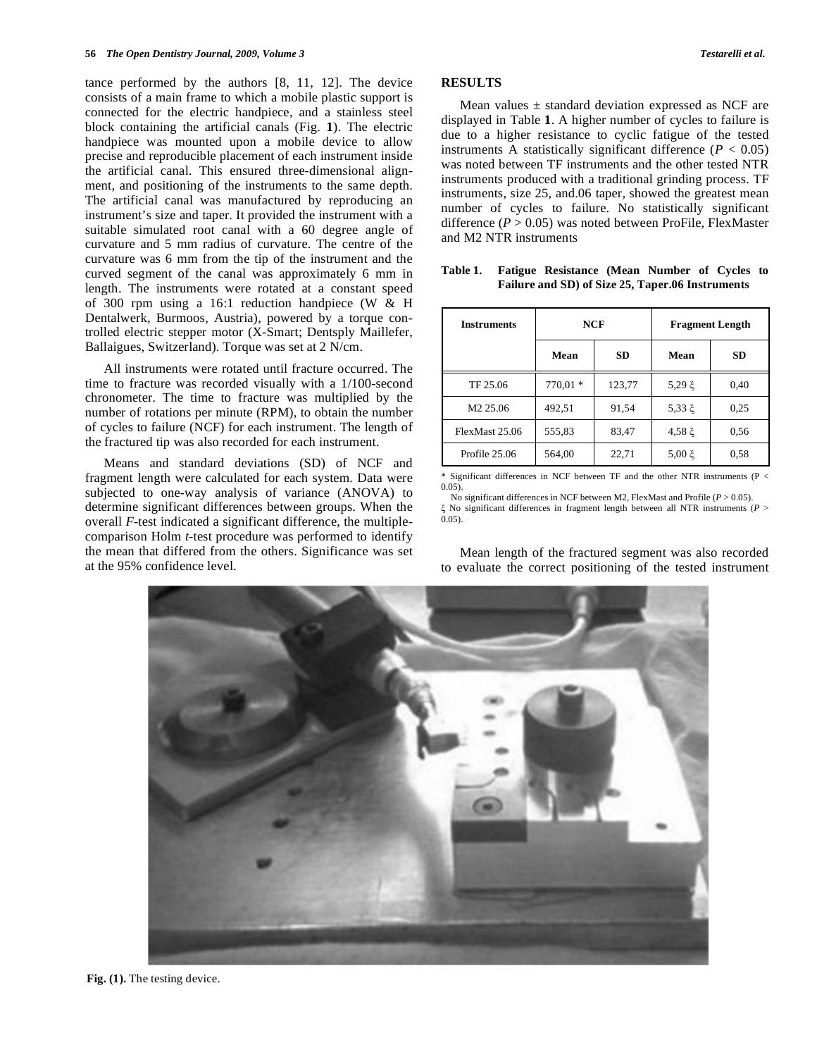tance performed by the authors [8, 11, 12]. The device consists of a main frame to which a mobile plastic support is connected for the electric handpiece, and a stainless steel block containing the artificial canals (Fig. **1**). The electric handpiece was mounted upon a mobile device to allow precise and reproducible placement of each instrument inside the artificial canal. This ensured three-dimensional alignment, and positioning of the instruments to the same depth. The artificial canal was manufactured by reproducing an instrument's size and taper. It provided the instrument with a suitable simulated root canal with a 60 degree angle of curvature and 5 mm radius of curvature. The centre of the curvature was 6 mm from the tip of the instrument and the curved segment of the canal was approximately 6 mm in length. The instruments were rotated at a constant speed of 300 rpm using a 16:1 reduction handpiece (W & H Dentalwerk, Burmoos, Austria), powered by a torque controlled electric stepper motor (X-Smart; Dentsply Maillefer, Ballaigues, Switzerland). Torque was set at 2 N/cm.

 All instruments were rotated until fracture occurred. The time to fracture was recorded visually with a 1/100-second chronometer. The time to fracture was multiplied by the number of rotations per minute (RPM), to obtain the number of cycles to failure (NCF) for each instrument. The length of the fractured tip was also recorded for each instrument.

 Means and standard deviations (SD) of NCF and fragment length were calculated for each system. Data were subjected to one-way analysis of variance (ANOVA) to determine significant differences between groups. When the overall *F*-test indicated a significant difference, the multiplecomparison Holm *t*-test procedure was performed to identify the mean that differed from the others. Significance was set at the 95% confidence level.

# **RESULTS**

Mean values  $\pm$  standard deviation expressed as NCF are displayed in Table **1**. A higher number of cycles to failure is due to a higher resistance to cyclic fatigue of the tested instruments A statistically significant difference  $(P < 0.05)$ was noted between TF instruments and the other tested NTR instruments produced with a traditional grinding process. TF instruments, size 25, and.06 taper, showed the greatest mean number of cycles to failure. No statistically significant difference  $(P > 0.05)$  was noted between ProFile, FlexMaster and M2 NTR instruments

| <b>Instruments</b>   | NCF       |           | <b>Fragment Length</b> |           |
|----------------------|-----------|-----------|------------------------|-----------|
|                      | Mean      | <b>SD</b> | Mean                   | <b>SD</b> |
| TF 25.06             | $770.01*$ | 123,77    | 5,29 $\xi$             | 0,40      |
| M <sub>2</sub> 25.06 | 492,51    | 91,54     | $5,33 \xi$             | 0.25      |
| FlexMast 25.06       | 555,83    | 83,47     | $4,58 \xi$             | 0.56      |
| Profile 25.06        | 564,00    | 22,71     | 5,00 ξ                 | 0.58      |

**Table 1. Fatigue Resistance (Mean Number of Cycles to Failure and SD) of Size 25, Taper.06 Instruments** 

Significant differences in NCF between TF and the other NTR instruments (P  $<$ 0.05).

No significant differences in NCF between M2, FlexMast and Profile  $(P > 0.05)$ .

 No significant differences in fragment length between all NTR instruments (*P* >  $0.05$ ).

 Mean length of the fractured segment was also recorded to evaluate the correct positioning of the tested instrument



**Fig. (1).** The testing device.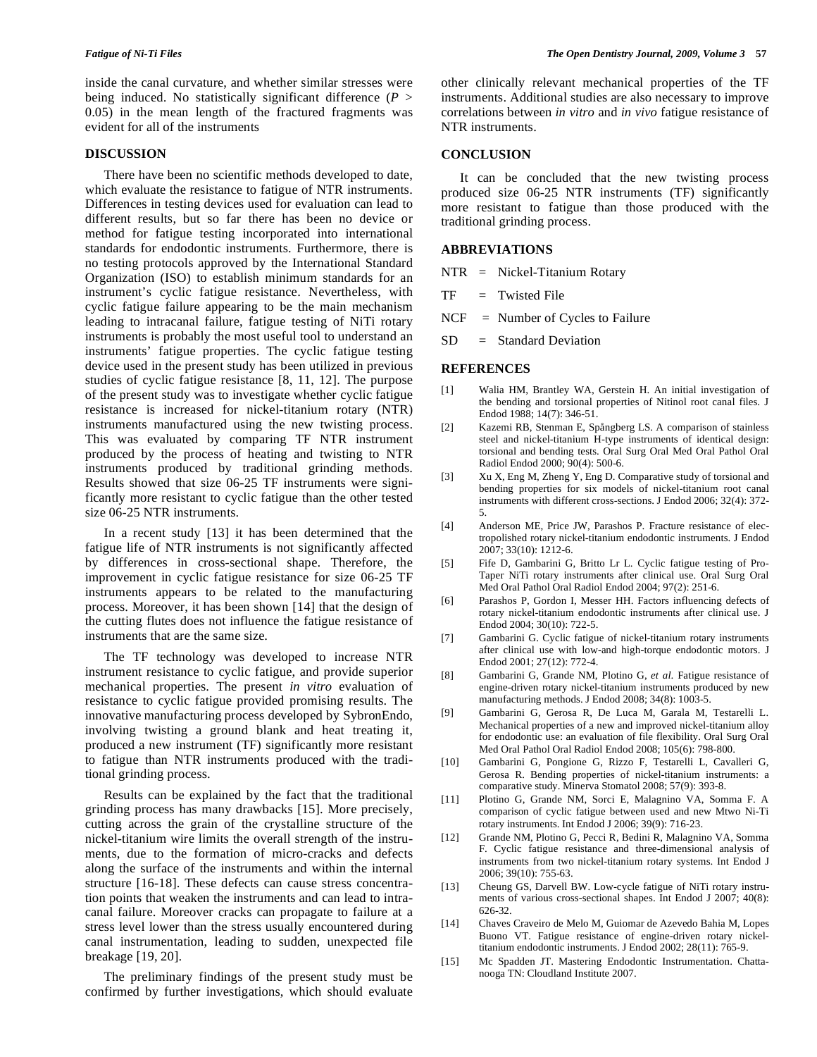inside the canal curvature, and whether similar stresses were being induced. No statistically significant difference (*P* > 0.05) in the mean length of the fractured fragments was evident for all of the instruments

#### **DISCUSSION**

 There have been no scientific methods developed to date, which evaluate the resistance to fatigue of NTR instruments. Differences in testing devices used for evaluation can lead to different results, but so far there has been no device or method for fatigue testing incorporated into international standards for endodontic instruments. Furthermore, there is no testing protocols approved by the International Standard Organization (ISO) to establish minimum standards for an instrument's cyclic fatigue resistance. Nevertheless, with cyclic fatigue failure appearing to be the main mechanism leading to intracanal failure, fatigue testing of NiTi rotary instruments is probably the most useful tool to understand an instruments' fatigue properties. The cyclic fatigue testing device used in the present study has been utilized in previous studies of cyclic fatigue resistance [8, 11, 12]. The purpose of the present study was to investigate whether cyclic fatigue resistance is increased for nickel-titanium rotary (NTR) instruments manufactured using the new twisting process. This was evaluated by comparing TF NTR instrument produced by the process of heating and twisting to NTR instruments produced by traditional grinding methods. Results showed that size 06-25 TF instruments were significantly more resistant to cyclic fatigue than the other tested size 06-25 NTR instruments.

 In a recent study [13] it has been determined that the fatigue life of NTR instruments is not significantly affected by differences in cross-sectional shape. Therefore, the improvement in cyclic fatigue resistance for size 06-25 TF instruments appears to be related to the manufacturing process. Moreover, it has been shown [14] that the design of the cutting flutes does not influence the fatigue resistance of instruments that are the same size.

 The TF technology was developed to increase NTR instrument resistance to cyclic fatigue, and provide superior mechanical properties. The present *in vitro* evaluation of resistance to cyclic fatigue provided promising results. The innovative manufacturing process developed by SybronEndo, involving twisting a ground blank and heat treating it, produced a new instrument (TF) significantly more resistant to fatigue than NTR instruments produced with the traditional grinding process.

 Results can be explained by the fact that the traditional grinding process has many drawbacks [15]. More precisely, cutting across the grain of the crystalline structure of the nickel-titanium wire limits the overall strength of the instruments, due to the formation of micro-cracks and defects along the surface of the instruments and within the internal structure [16-18]. These defects can cause stress concentration points that weaken the instruments and can lead to intracanal failure. Moreover cracks can propagate to failure at a stress level lower than the stress usually encountered during canal instrumentation, leading to sudden, unexpected file breakage [19, 20].

 The preliminary findings of the present study must be confirmed by further investigations, which should evaluate other clinically relevant mechanical properties of the TF instruments. Additional studies are also necessary to improve correlations between *in vitro* and *in vivo* fatigue resistance of NTR instruments.

#### **CONCLUSION**

 It can be concluded that the new twisting process produced size 06-25 NTR instruments (TF) significantly more resistant to fatigue than those produced with the traditional grinding process.

# **ABBREVIATIONS**

NTR = Nickel-Titanium Rotary

- $TF = Twisted File$
- $NCF$  = Number of Cycles to Failure
- $SD = Standard Deviation$

#### **REFERENCES**

- [1] Walia HM, Brantley WA, Gerstein H. An initial investigation of the bending and torsional properties of Nitinol root canal files. J Endod 1988; 14(7): 346-51.
- [2] Kazemi RB, Stenman E, Spångberg LS. A comparison of stainless steel and nickel-titanium H-type instruments of identical design: torsional and bending tests. Oral Surg Oral Med Oral Pathol Oral Radiol Endod 2000; 90(4): 500-6.
- [3] Xu X, Eng M, Zheng Y, Eng D. Comparative study of torsional and bending properties for six models of nickel-titanium root canal instruments with different cross-sections. J Endod 2006; 32(4): 372- 5.
- [4] Anderson ME, Price JW, Parashos P. Fracture resistance of electropolished rotary nickel-titanium endodontic instruments. J Endod 2007; 33(10): 1212-6.
- [5] Fife D, Gambarini G, Britto Lr L. Cyclic fatigue testing of Pro-Taper NiTi rotary instruments after clinical use. Oral Surg Oral Med Oral Pathol Oral Radiol Endod 2004; 97(2): 251-6.
- [6] Parashos P, Gordon I, Messer HH. Factors influencing defects of rotary nickel-titanium endodontic instruments after clinical use. J Endod 2004; 30(10): 722-5.
- [7] Gambarini G. Cyclic fatigue of nickel-titanium rotary instruments after clinical use with low-and high-torque endodontic motors. J Endod 2001; 27(12): 772-4.
- [8] Gambarini G, Grande NM, Plotino G, *et al*. Fatigue resistance of engine-driven rotary nickel-titanium instruments produced by new manufacturing methods. J Endod 2008; 34(8): 1003-5.
- [9] Gambarini G, Gerosa R, De Luca M, Garala M, Testarelli L. Mechanical properties of a new and improved nickel-titanium alloy for endodontic use: an evaluation of file flexibility. Oral Surg Oral Med Oral Pathol Oral Radiol Endod 2008; 105(6): 798-800.
- [10] Gambarini G, Pongione G, Rizzo F, Testarelli L, Cavalleri G, Gerosa R. Bending properties of nickel-titanium instruments: a comparative study. Minerva Stomatol 2008; 57(9): 393-8.
- [11] Plotino G, Grande NM, Sorci E, Malagnino VA, Somma F. A comparison of cyclic fatigue between used and new Mtwo Ni-Ti rotary instruments. Int Endod J 2006; 39(9): 716-23.
- [12] Grande NM, Plotino G, Pecci R, Bedini R, Malagnino VA, Somma F. Cyclic fatigue resistance and three-dimensional analysis of instruments from two nickel-titanium rotary systems. Int Endod J 2006; 39(10): 755-63.
- [13] Cheung GS, Darvell BW. Low-cycle fatigue of NiTi rotary instruments of various cross-sectional shapes. Int Endod J 2007; 40(8): 626-32.
- [14] Chaves Craveiro de Melo M, Guiomar de Azevedo Bahia M, Lopes Buono VT. Fatigue resistance of engine-driven rotary nickeltitanium endodontic instruments. J Endod 2002; 28(11): 765-9.
- [15] Mc Spadden JT. Mastering Endodontic Instrumentation. Chattanooga TN: Cloudland Institute 2007.